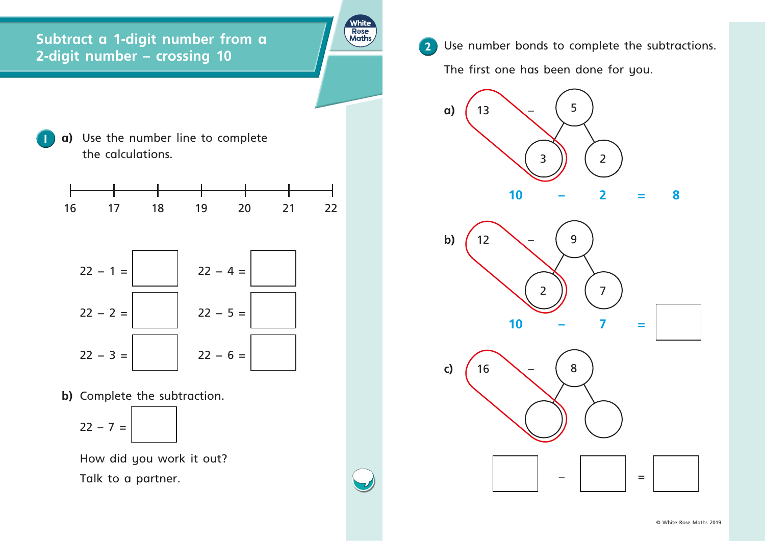**1 a)** Use the number line to complete the calculations.

**Subtract a 1-digit number from a 2** Use number **a 2** Use number bonds to complete the subtractions.<br>
2-digit number – crossing 10

**White** 



How did you work it out? Talk to a partner.



**b)** Complete the subtraction.

The first one has been done for you.